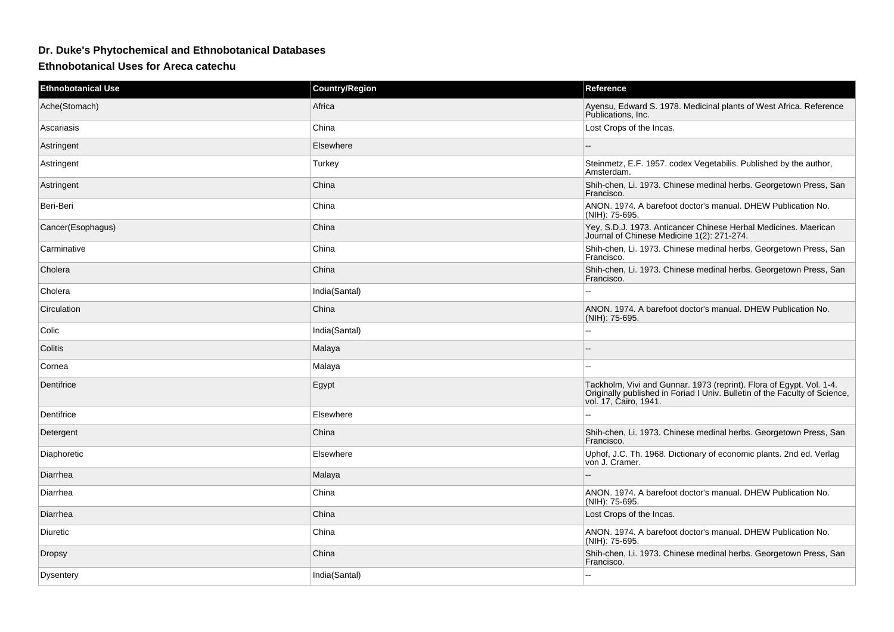## **Dr. Duke's Phytochemical and Ethnobotanical Databases**

**Ethnobotanical Uses for Areca catechu**

| <b>Ethnobotanical Use</b> | <b>Country/Region</b> | Reference                                                                                                                                                                   |
|---------------------------|-----------------------|-----------------------------------------------------------------------------------------------------------------------------------------------------------------------------|
| Ache(Stomach)             | Africa                | Ayensu, Edward S. 1978. Medicinal plants of West Africa. Reference<br>Publications, Inc.                                                                                    |
| Ascariasis                | China                 | Lost Crops of the Incas.                                                                                                                                                    |
| Astringent                | Elsewhere             |                                                                                                                                                                             |
| Astringent                | Turkey                | Steinmetz, E.F. 1957. codex Vegetabilis. Published by the author,<br>Amsterdam.                                                                                             |
| Astringent                | China                 | Shih-chen, Li. 1973. Chinese medinal herbs. Georgetown Press, San<br>Francisco.                                                                                             |
| Beri-Beri                 | China                 | ANON. 1974. A barefoot doctor's manual. DHEW Publication No.<br>(NIH): 75-695.                                                                                              |
| Cancer(Esophagus)         | China                 | Yey, S.D.J. 1973. Anticancer Chinese Herbal Medicines. Maerican<br>Journal of Chinese Medicine 1(2): 271-274.                                                               |
| Carminative               | China                 | Shih-chen, Li. 1973. Chinese medinal herbs. Georgetown Press, San<br>Francisco.                                                                                             |
| Cholera                   | China                 | Shih-chen, Li. 1973. Chinese medinal herbs. Georgetown Press, San<br>Francisco.                                                                                             |
| Cholera                   | India(Santal)         |                                                                                                                                                                             |
| Circulation               | China                 | ANON. 1974. A barefoot doctor's manual. DHEW Publication No.<br>(NIH): 75-695.                                                                                              |
| Colic                     | India(Santal)         | --                                                                                                                                                                          |
| Colitis                   | Malaya                |                                                                                                                                                                             |
| Cornea                    | Malaya                | $\overline{a}$                                                                                                                                                              |
| Dentifrice                | Egypt                 | Tackholm, Vivi and Gunnar. 1973 (reprint). Flora of Egypt. Vol. 1-4.<br>Originally published in Foriad I Univ. Bulletin of the Faculty of Science,<br>vol. 17, Ćairo, 1941. |
| Dentifrice                | Elsewhere             |                                                                                                                                                                             |
| Detergent                 | China                 | Shih-chen, Li. 1973. Chinese medinal herbs. Georgetown Press, San<br>Francisco.                                                                                             |
| Diaphoretic               | Elsewhere             | Uphof, J.C. Th. 1968. Dictionary of economic plants. 2nd ed. Verlag<br>von J. Cramer.                                                                                       |
| Diarrhea                  | Malaya                | $\overline{a}$                                                                                                                                                              |
| Diarrhea                  | China                 | ANON. 1974. A barefoot doctor's manual. DHEW Publication No.<br>(NIH): 75-695.                                                                                              |
| Diarrhea                  | China                 | Lost Crops of the Incas.                                                                                                                                                    |
| Diuretic                  | China                 | ANON. 1974. A barefoot doctor's manual. DHEW Publication No.<br>(NIH): 75-695.                                                                                              |
| <b>Dropsy</b>             | China                 | Shih-chen, Li. 1973. Chinese medinal herbs. Georgetown Press, San<br>Francisco.                                                                                             |
| Dysentery                 | India(Santal)         | $\overline{a}$                                                                                                                                                              |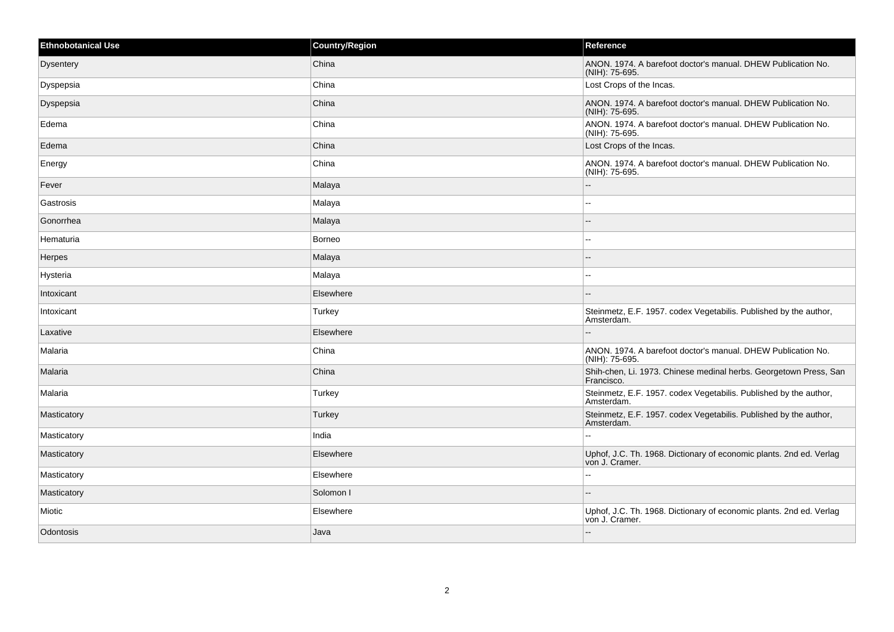| <b>Ethnobotanical Use</b> | Country/Region | Reference                                                                             |
|---------------------------|----------------|---------------------------------------------------------------------------------------|
| <b>Dysentery</b>          | China          | ANON, 1974. A barefoot doctor's manual. DHEW Publication No.<br>(NIH): 75-695.        |
| Dyspepsia                 | China          | Lost Crops of the Incas.                                                              |
| Dyspepsia                 | China          | ANON. 1974. A barefoot doctor's manual. DHEW Publication No.<br>(NIH): 75-695.        |
| Edema                     | China          | ANON. 1974. A barefoot doctor's manual. DHEW Publication No.<br>(NIH): 75-695.        |
| Edema                     | China          | Lost Crops of the Incas.                                                              |
| Energy                    | China          | ANON. 1974. A barefoot doctor's manual. DHEW Publication No.<br>(NIH): 75-695.        |
| Fever                     | Malaya         | $\overline{a}$                                                                        |
| Gastrosis                 | Malaya         | $\overline{a}$                                                                        |
| Gonorrhea                 | Malaya         |                                                                                       |
| Hematuria                 | <b>Borneo</b>  | $\overline{a}$                                                                        |
| Herpes                    | Malaya         |                                                                                       |
| Hysteria                  | Malaya         | --                                                                                    |
| Intoxicant                | Elsewhere      | $\sim$                                                                                |
| Intoxicant                | Turkey         | Steinmetz, E.F. 1957. codex Vegetabilis. Published by the author,<br>Amsterdam.       |
| Laxative                  | Elsewhere      |                                                                                       |
| Malaria                   | China          | ANON. 1974. A barefoot doctor's manual. DHEW Publication No.<br>(NIH): 75-695.        |
| Malaria                   | China          | Shih-chen, Li. 1973. Chinese medinal herbs. Georgetown Press, San<br>Francisco.       |
| Malaria                   | Turkey         | Steinmetz, E.F. 1957. codex Vegetabilis. Published by the author,<br>Amsterdam.       |
| Masticatory               | Turkey         | Steinmetz, E.F. 1957. codex Vegetabilis. Published by the author,<br>Amsterdam.       |
| Masticatory               | India          |                                                                                       |
| Masticatory               | Elsewhere      | Uphof, J.C. Th. 1968. Dictionary of economic plants. 2nd ed. Verlag<br>von J. Cramer. |
| Masticatory               | Elsewhere      | $\overline{a}$                                                                        |
| Masticatory               | Solomon I      |                                                                                       |
| Miotic                    | Elsewhere      | Uphof, J.C. Th. 1968. Dictionary of economic plants. 2nd ed. Verlag<br>von J. Cramer. |
| Odontosis                 | Java           | $\overline{\phantom{a}}$                                                              |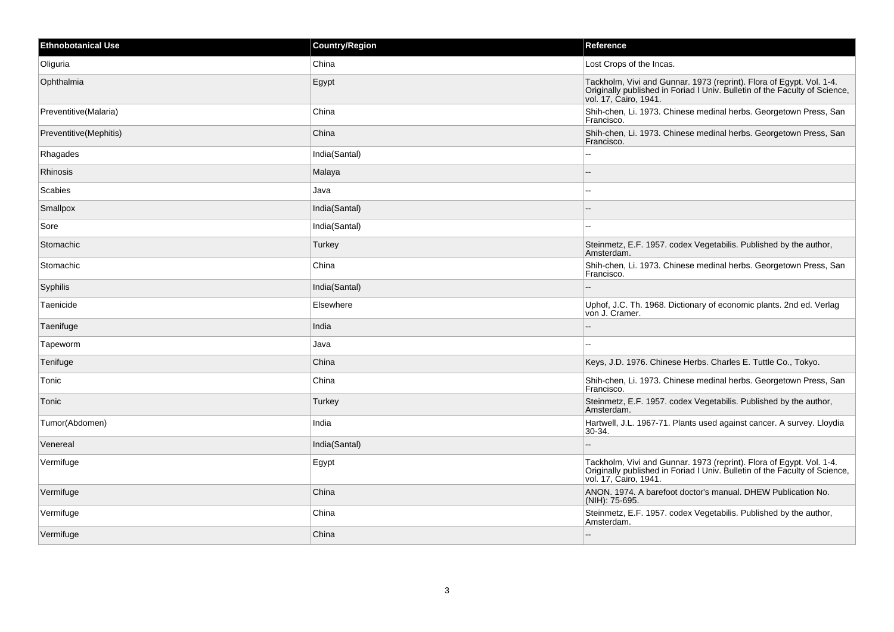| <b>Ethnobotanical Use</b> | <b>Country/Region</b> | Reference                                                                                                                                                                   |
|---------------------------|-----------------------|-----------------------------------------------------------------------------------------------------------------------------------------------------------------------------|
| Oliguria                  | China                 | Lost Crops of the Incas.                                                                                                                                                    |
| Ophthalmia                | Egypt                 | Tackholm, Vivi and Gunnar. 1973 (reprint). Flora of Egypt. Vol. 1-4.<br>Originally published in Foriad I Univ. Bulletin of the Faculty of Science,<br>vol. 17, Cairo, 1941. |
| Preventitive(Malaria)     | China                 | Shih-chen, Li. 1973. Chinese medinal herbs. Georgetown Press, San<br>Francisco.                                                                                             |
| Preventitive(Mephitis)    | China                 | Shih-chen, Li. 1973. Chinese medinal herbs. Georgetown Press, San<br>Francisco.                                                                                             |
| Rhagades                  | India(Santal)         | ц.                                                                                                                                                                          |
| Rhinosis                  | Malaya                |                                                                                                                                                                             |
| Scabies                   | Java                  | ۵۵                                                                                                                                                                          |
| Smallpox                  | India(Santal)         |                                                                                                                                                                             |
| Sore                      | India(Santal)         | --                                                                                                                                                                          |
| Stomachic                 | Turkey                | Steinmetz, E.F. 1957. codex Vegetabilis. Published by the author,<br>Amsterdam.                                                                                             |
| Stomachic                 | China                 | Shih-chen, Li. 1973. Chinese medinal herbs. Georgetown Press, San<br>Francisco.                                                                                             |
| Syphilis                  | India(Santal)         |                                                                                                                                                                             |
| Taenicide                 | Elsewhere             | Uphof, J.C. Th. 1968. Dictionary of economic plants. 2nd ed. Verlag<br>von J. Cramer.                                                                                       |
| Taenifuge                 | India                 | --                                                                                                                                                                          |
| Tapeworm                  | Java                  | --                                                                                                                                                                          |
| Tenifuge                  | China                 | Keys, J.D. 1976. Chinese Herbs. Charles E. Tuttle Co., Tokyo.                                                                                                               |
| Tonic                     | China                 | Shih-chen, Li. 1973. Chinese medinal herbs. Georgetown Press, San<br>Francisco.                                                                                             |
| Tonic                     | Turkey                | Steinmetz, E.F. 1957. codex Vegetabilis. Published by the author,<br>Amsterdam.                                                                                             |
| Tumor(Abdomen)            | India                 | Hartwell, J.L. 1967-71. Plants used against cancer. A survey. Lloydia<br>30-34.                                                                                             |
| Venereal                  | India(Santal)         | --                                                                                                                                                                          |
| Vermifuge                 | Egypt                 | Tackholm, Vivi and Gunnar. 1973 (reprint). Flora of Egypt. Vol. 1-4.<br>Originally published in Foriad I Univ. Bulletin of the Faculty of Science,<br>vol. 17, Cairo, 1941. |
| Vermifuge                 | China                 | ANON. 1974. A barefoot doctor's manual. DHEW Publication No.<br>(NIH): 75-695.                                                                                              |
| Vermifuge                 | China                 | Steinmetz, E.F. 1957. codex Vegetabilis. Published by the author,<br>Amsterdam.                                                                                             |
| Vermifuge                 | China                 | --                                                                                                                                                                          |